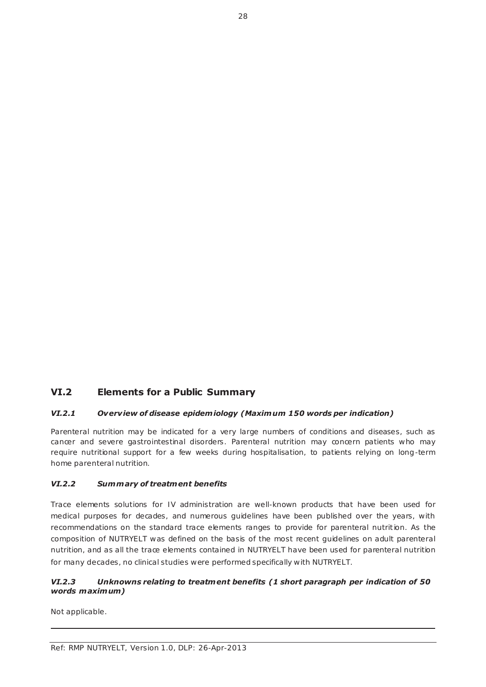# **VI.2 Elements for a Public Summary**

### *VI.2.1 Overv iew of disease epidem iology (Maximum 150 words per indication)*

Parenteral nutrition may be indicated for a very large numbers of conditions and diseases, such as cancer and severe gastrointestinal disorders. Parenteral nutrition may concern patients who may require nutritional support for a few weeks during hospitalisation, to patients relying on long -term home parenteral nutrition.

#### *VI.2.2 Summary of treatment benefits*

Trace elements solutions for IV administration are well-known products that have been used for medical purposes for decades, and numerous guidelines have been published over the years, with recommendations on the standard trace elements ranges to provide for parenteral nutrition. As the composition of NUTRYELT was defined on the basis of the most recent guidelines on adult parenteral nutrition, and as all the trace elements contained in NUTRYELT have been used for parenteral nutrition for many decades, no clinical studies were performed specifically with NUTRYELT.

### *VI.2.3 Unknowns relating to treatment benefits (1 short paragraph per indication of 50 words maximum)*

Not applicable.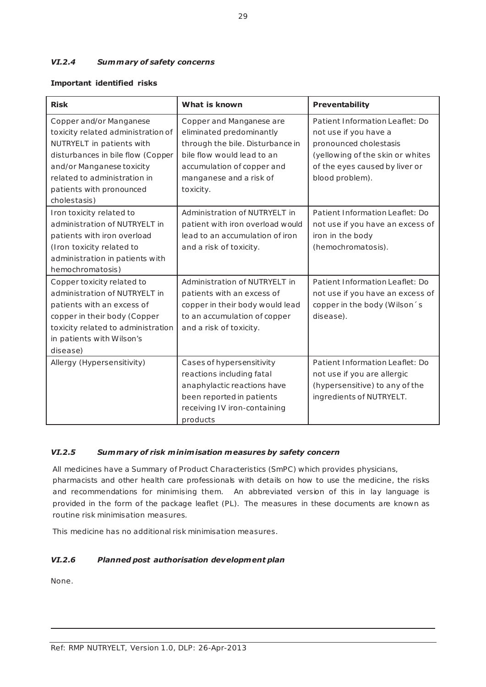## *VI.2.4 Summary of safety concerns*

### **Important identified risks**

| <b>Risk</b>                        | What is known                    | <b>Preventability</b>            |
|------------------------------------|----------------------------------|----------------------------------|
| Copper and/or Manganese            | Copper and Manganese are         | Patient Information Leaflet: Do  |
| toxicity related administration of | eliminated predominantly         | not use if you have a            |
| NUTRYELT in patients with          | through the bile. Disturbance in | pronounced cholestasis           |
| disturbances in bile flow (Copper  | bile flow would lead to an       | (yellowing of the skin or whites |
| and/or Manganese toxicity          | accumulation of copper and       | of the eyes caused by liver or   |
| related to administration in       | manganese and a risk of          | blood problem).                  |
| patients with pronounced           | toxicity.                        |                                  |
| cholestasis)                       |                                  |                                  |
| Iron toxicity related to           | Administration of NUTRYELT in    | Patient Information Leaflet: Do  |
| administration of NUTRYELT in      | patient with iron overload would | not use if you have an excess of |
| patients with iron overload        | lead to an accumulation of iron  | iron in the body                 |
| (Iron toxicity related to          | and a risk of toxicity.          | (hemochromatosis).               |
| administration in patients with    |                                  |                                  |
| hemochromatosis)                   |                                  |                                  |
| Copper toxicity related to         | Administration of NUTRYELT in    | Patient Information Leaflet: Do  |
| administration of NUTRYELT in      | patients with an excess of       | not use if you have an excess of |
| patients with an excess of         | copper in their body would lead  | copper in the body (Wilson's     |
| copper in their body (Copper       | to an accumulation of copper     | disease).                        |
| toxicity related to administration | and a risk of toxicity.          |                                  |
| in patients with Wilson's          |                                  |                                  |
| disease)                           |                                  |                                  |
| Allergy (Hypersensitivity)         | Cases of hypersensitivity        | Patient Information Leaflet: Do  |
|                                    | reactions including fatal        | not use if you are allergic      |
|                                    | anaphylactic reactions have      | (hypersensitive) to any of the   |
|                                    | been reported in patients        | ingredients of NUTRYELT.         |
|                                    | receiving IV iron-containing     |                                  |
|                                    | products                         |                                  |

### *VI.2.5 Summary of risk m inim isation measures by safety concern*

All medicines have a Summary of Product Characteristics (SmPC) which provides physicians, pharmacists and other health care professionals with details on how to use the medicine, the risks and recommendations for minimising them. An abbreviated version of this in lay language is provided in the form of the package leaflet (PL). The measures in these documents are known as routine risk minimisation measures.

This medicine has no additional risk minimisation measures.

### *VI.2.6 Planned post authorisation development plan*

None.